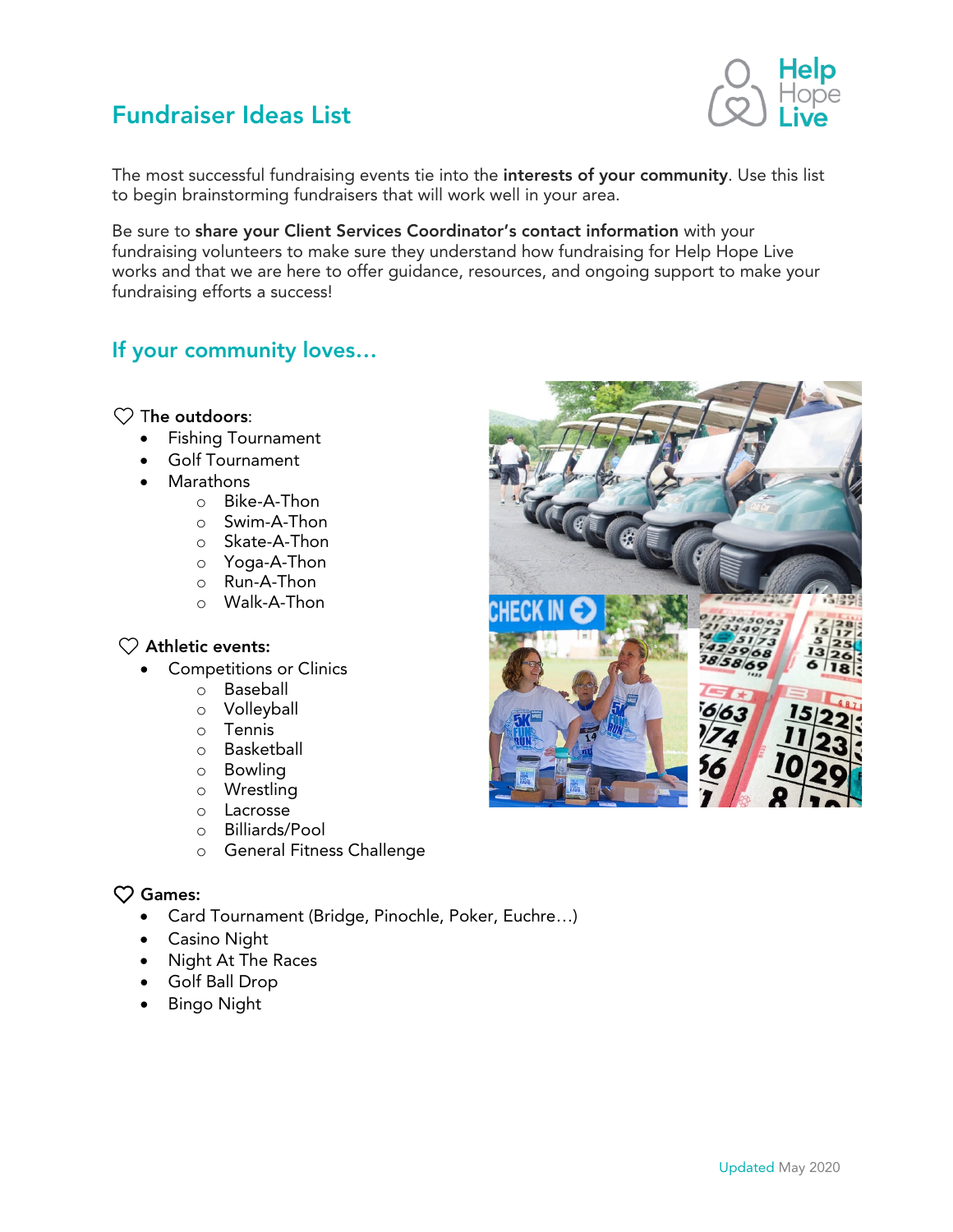

The most successful fundraising events tie into the interests of your community. Use this list to begin brainstorming fundraisers that will work well in your area.

Be sure to share your Client Services Coordinator's contact information with your fundraising volunteers to make sure they understand how fundraising for Help Hope Live works and that we are here to offer guidance, resources, and ongoing support to make your fundraising efforts a success!

# If your community loves…

#### $\heartsuit$  The outdoors:

- Fishing Tournament
- Golf Tournament
- Marathons
	- o Bike-A-Thon
		- o Swim-A-Thon
		- o Skate-A-Thon
		- o Yoga-A-Thon
		- o Run-A-Thon
		- o Walk-A-Thon

#### $\heartsuit$  Athletic events:

- Competitions or Clinics
	- o Baseball
	- o Volleyball
	- o Tennis
	- o Basketball
	- o Bowling
	- o Wrestling
	- o Lacrosse
	- o Billiards/Pool
	- o General Fitness Challenge

## ❤ Games:

- Card Tournament (Bridge, Pinochle, Poker, Euchre…)
- Casino Night
- Night At The Races
- Golf Ball Drop
- Bingo Night

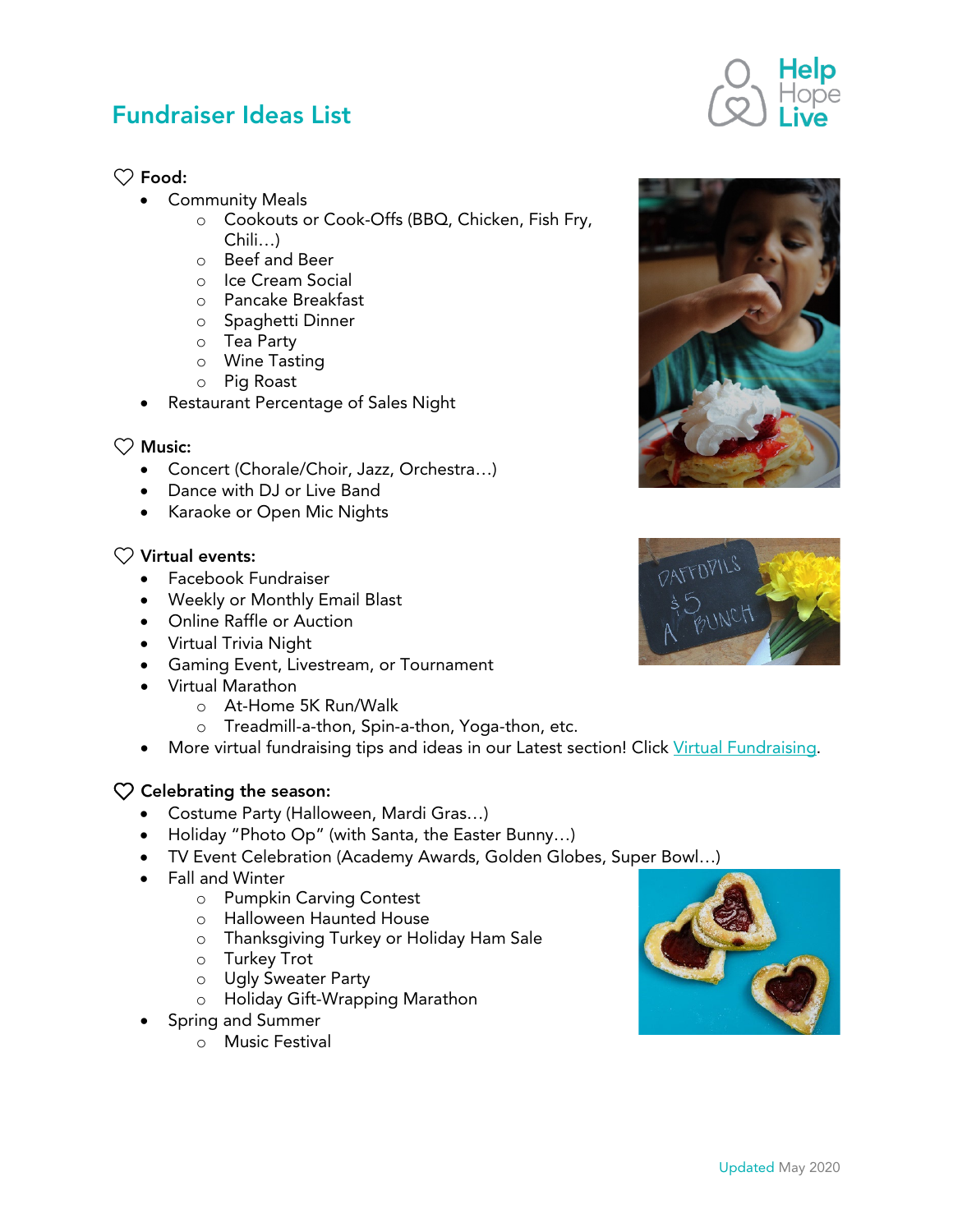## $\heartsuit$  Food:

- Community Meals
	- o Cookouts or Cook-Offs (BBQ, Chicken, Fish Fry, Chili…)
	- o Beef and Beer
	- o Ice Cream Social
	- o Pancake Breakfast
	- o Spaghetti Dinner
	- o Tea Party
	- o Wine Tasting
	- o Pig Roast
	- Restaurant Percentage of Sales Night

## $\heartsuit$  Music:

- Concert (Chorale/Choir, Jazz, Orchestra…)
- Dance with DJ or Live Band
- Karaoke or Open Mic Nights

#### $\heartsuit$  Virtual events:

- Facebook Fundraiser
- Weekly or Monthly Email Blast
- Online Raffle or Auction
- Virtual Trivia Night
- Gaming Event, Livestream, or Tournament
- Virtual Marathon
	- o At-Home 5K Run/Walk
	- o Treadmill-a-thon, Spin-a-thon, Yoga-thon, etc.
- More virtual fundraising tips and ideas in our Latest section! Click [Virtual Fundraising.](https://helphopelive.org/category/enews/virtual-fundraising/)

#### $\heartsuit$  Celebrating the season:

- Costume Party (Halloween, Mardi Gras…)
- Holiday "Photo Op" (with Santa, the Easter Bunny…)
- TV Event Celebration (Academy Awards, Golden Globes, Super Bowl…)
- Fall and Winter
	- o Pumpkin Carving Contest
	- o Halloween Haunted House
	- o Thanksgiving Turkey or Holiday Ham Sale
	- o Turkey Trot
	- o Ugly Sweater Party
	- o Holiday Gift-Wrapping Marathon
- Spring and Summer
	- o Music Festival







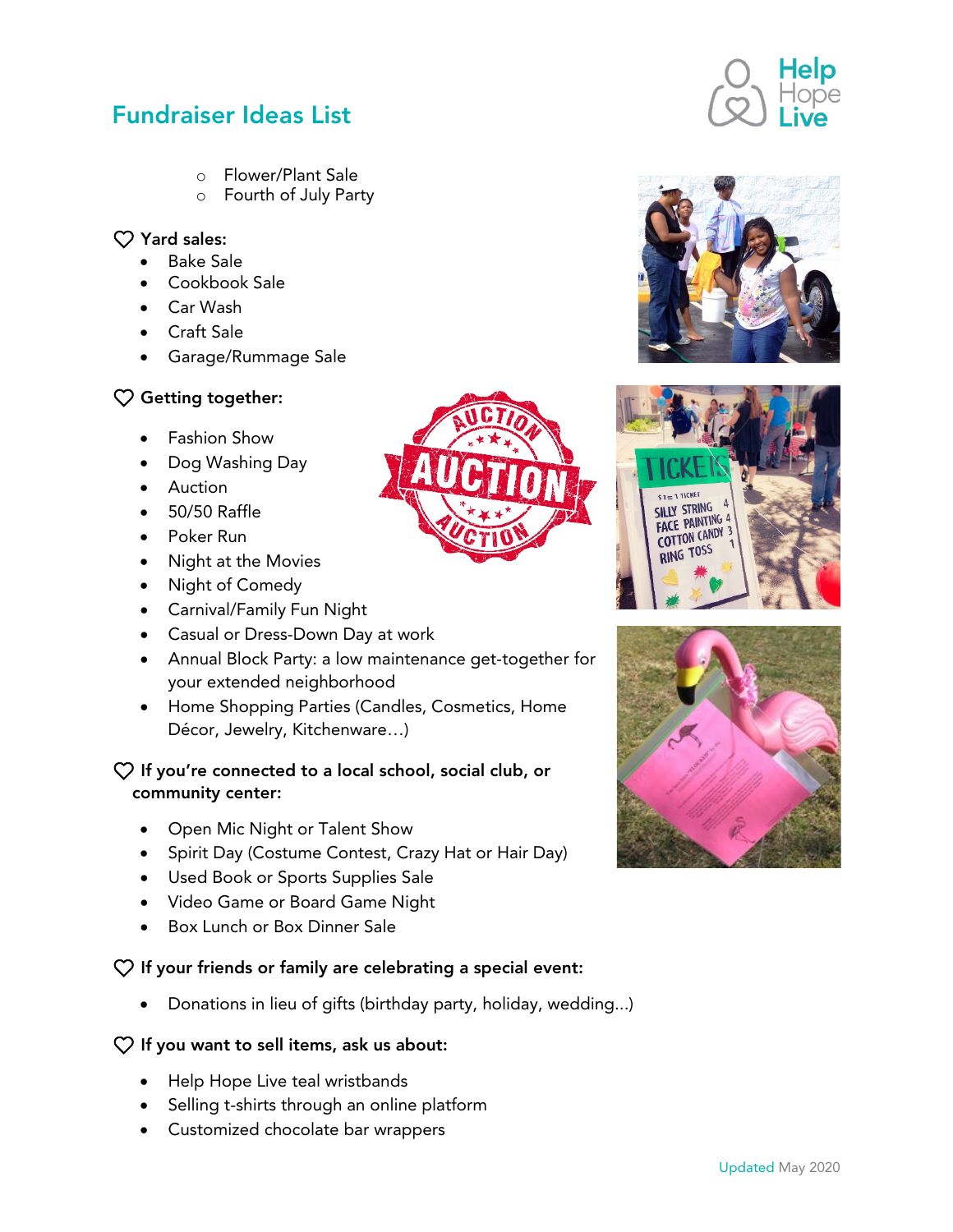- o Flower/Plant Sale
- o Fourth of July Party

## $\heartsuit$  Yard sales:

- Bake Sale
- Cookbook Sale
- Car Wash
- Craft Sale
- Garage/Rummage Sale

# $\heartsuit$  Getting together:

- Fashion Show
- Dog Washing Day
- Auction
- 50/50 Raffle
- Poker Run
- Night at the Movies
- Night of Comedy
- Carnival/Family Fun Night
- Casual or Dress-Down Day at work
- Annual Block Party: a low maintenance get-together for your extended neighborhood
- Home Shopping Parties (Candles, Cosmetics, Home Décor, Jewelry, Kitchenware…)

## $\heartsuit$  If you're connected to a local school, social club, or community center:

- Open Mic Night or Talent Show
- Spirit Day (Costume Contest, Crazy Hat or Hair Day)
- Used Book or Sports Supplies Sale
- Video Game or Board Game Night
- Box Lunch or Box Dinner Sale

## $\heartsuit$  If your friends or family are celebrating a special event:

• Donations in lieu of gifts (birthday party, holiday, wedding...)

## $\heartsuit$  If you want to sell items, ask us about:

- Help Hope Live teal wristbands
- Selling t-shirts through an online platform
- Customized chocolate bar wrappers